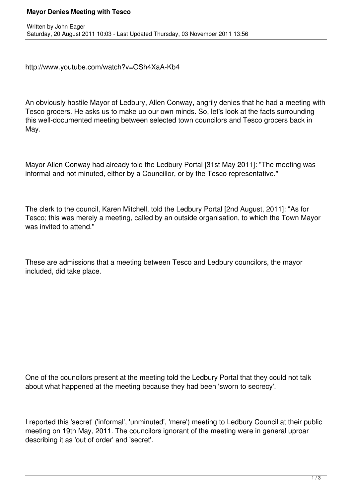## **Mayor Denies Meeting with Tesco**

http://www.youtube.com/watch?v=OSh4XaA-Kb4

An obviously hostile Mayor of Ledbury, Allen Conway, angrily denies that he had a meeting with Tesco grocers. He asks us to make up our own minds. So, let's look at the facts surrounding this well-documented meeting between selected town councilors and Tesco grocers back in May.

Mayor Allen Conway had already told the Ledbury Portal [31st May 2011]: "The meeting was informal and not minuted, either by a Councillor, or by the Tesco representative."

The clerk to the council, Karen Mitchell, told the Ledbury Portal [2nd August, 2011]: "As for Tesco; this was merely a meeting, called by an outside organisation, to which the Town Mayor was invited to attend."

These are admissions that a meeting between Tesco and Ledbury councilors, the mayor included, did take place.

One of the councilors present at the meeting told the Ledbury Portal that they could not talk about what happened at the meeting because they had been 'sworn to secrecy'.

I reported this 'secret' ('informal', 'unminuted', 'mere') meeting to Ledbury Council at their public meeting on 19th May, 2011. The councilors ignorant of the meeting were in general uproar describing it as 'out of order' and 'secret'.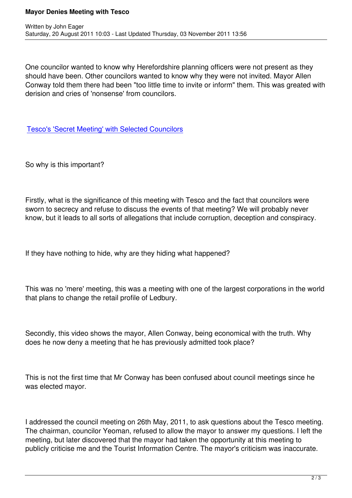One councilor wanted to know why Herefordshire planning officers were not present as they should have been. Other councilors wanted to know why they were not invited. Mayor Allen Conway told them there had been "too little time to invite or inform" them. This was greated with derision and cries of 'nonsense' from councilors.

Tesco's 'Secret Meeting' with Selected Councilors

[So why is this important?](http://www.ledburyportal.co.uk/portal/index.php?option=com_content&view=article&id=3814:tescos-secret-meeting-with-selected-councilors&catid=1:latest&Itemid=279)

Firstly, what is the significance of this meeting with Tesco and the fact that councilors were sworn to secrecy and refuse to discuss the events of that meeting? We will probably never know, but it leads to all sorts of allegations that include corruption, deception and conspiracy.

If they have nothing to hide, why are they hiding what happened?

This was no 'mere' meeting, this was a meeting with one of the largest corporations in the world that plans to change the retail profile of Ledbury.

Secondly, this video shows the mayor, Allen Conway, being economical with the truth. Why does he now deny a meeting that he has previously admitted took place?

This is not the first time that Mr Conway has been confused about council meetings since he was elected mayor.

I addressed the council meeting on 26th May, 2011, to ask questions about the Tesco meeting. The chairman, councilor Yeoman, refused to allow the mayor to answer my questions. I left the meeting, but later discovered that the mayor had taken the opportunity at this meeting to publicly criticise me and the Tourist Information Centre. The mayor's criticism was inaccurate.